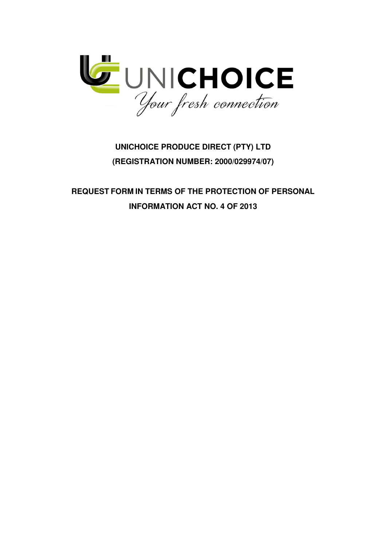

## **UNICHOICE PRODUCE DIRECT (PTY) LTD (REGISTRATION NUMBER: 2000/029974/07)**

**REQUEST FORM IN TERMS OF THE PROTECTION OF PERSONAL INFORMATION ACT NO. 4 OF 2013**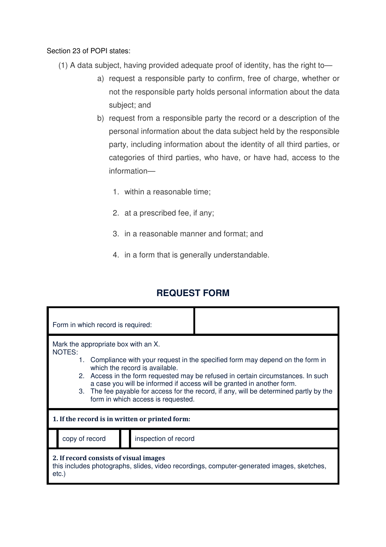Section 23 of POPI states:

- (1) A data subject, having provided adequate proof of identity, has the right to
	- a) request a responsible party to confirm, free of charge, whether or not the responsible party holds personal information about the data subject; and
	- b) request from a responsible party the record or a description of the personal information about the data subject held by the responsible party, including information about the identity of all third parties, or categories of third parties, who have, or have had, access to the information—
		- 1. within a reasonable time;
		- 2. at a prescribed fee, if any;
		- 3. in a reasonable manner and format; and
		- 4. in a form that is generally understandable.

## **REQUEST FORM**

| Form in which record is required:                                                                                                                                                                                                                                                                                                                                                                                                                                |                      |  |  |  |  |  |  |
|------------------------------------------------------------------------------------------------------------------------------------------------------------------------------------------------------------------------------------------------------------------------------------------------------------------------------------------------------------------------------------------------------------------------------------------------------------------|----------------------|--|--|--|--|--|--|
| Mark the appropriate box with an X.<br>NOTES:<br>1. Compliance with your request in the specified form may depend on the form in<br>which the record is available.<br>2. Access in the form requested may be refused in certain circumstances. In such<br>a case you will be informed if access will be granted in another form.<br>3. The fee payable for access for the record, if any, will be determined partly by the<br>form in which access is requested. |                      |  |  |  |  |  |  |
| 1. If the record is in written or printed form:                                                                                                                                                                                                                                                                                                                                                                                                                  |                      |  |  |  |  |  |  |
| copy of record                                                                                                                                                                                                                                                                                                                                                                                                                                                   | inspection of record |  |  |  |  |  |  |
| 2. If record consists of visual images<br>this includes photographs, slides, video recordings, computer-generated images, sketches,<br>$etc.$ )                                                                                                                                                                                                                                                                                                                  |                      |  |  |  |  |  |  |